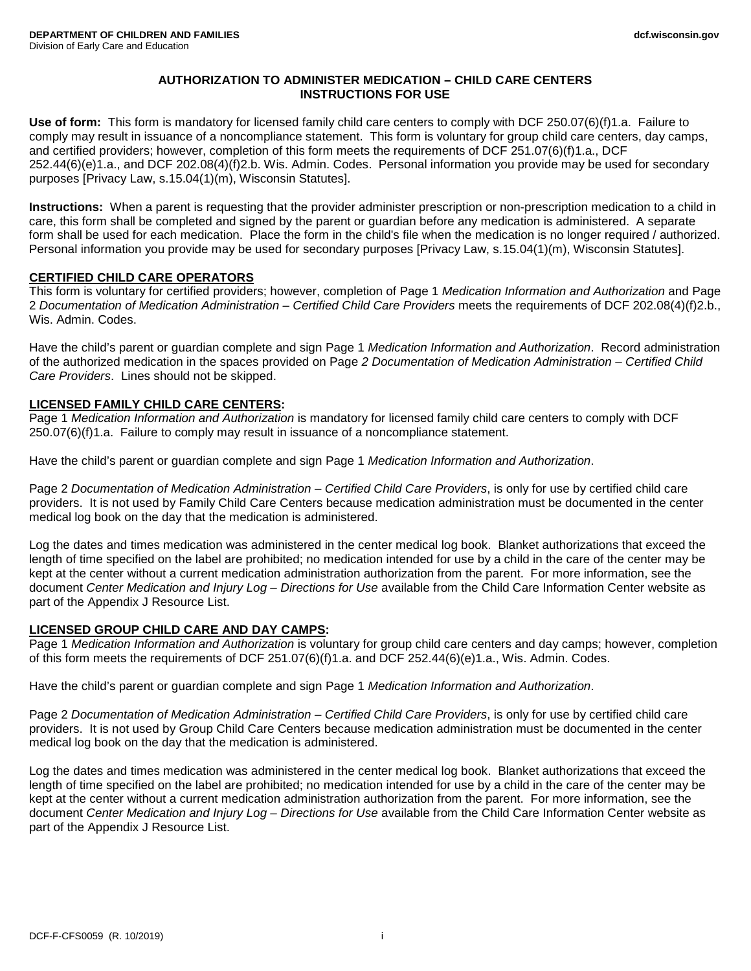# **AUTHORIZATION TO ADMINISTER MEDICATION – CHILD CARE CENTERS INSTRUCTIONS FOR USE**

**Use of form:** This form is mandatory for licensed family child care centers to comply with DCF 250.07(6)(f)1.a. Failure to comply may result in issuance of a noncompliance statement. This form is voluntary for group child care centers, day camps, and certified providers; however, completion of this form meets the requirements of DCF 251.07(6)(f)1.a., DCF 252.44(6)(e)1.a., and DCF 202.08(4)(f)2.b. Wis. Admin. Codes. Personal information you provide may be used for secondary purposes [Privacy Law, s.15.04(1)(m), Wisconsin Statutes].

**Instructions:** When a parent is requesting that the provider administer prescription or non-prescription medication to a child in care, this form shall be completed and signed by the parent or guardian before any medication is administered. A separate form shall be used for each medication. Place the form in the child's file when the medication is no longer required / authorized. Personal information you provide may be used for secondary purposes [Privacy Law, s.15.04(1)(m), Wisconsin Statutes].

# **CERTIFIED CHILD CARE OPERATORS**

This form is voluntary for certified providers; however, completion of Page 1 *Medication Information and Authorization* and Page 2 *Documentation of Medication Administration – Certified Child Care Providers* meets the requirements of DCF 202.08(4)(f)2.b., Wis. Admin. Codes.

Have the child's parent or guardian complete and sign Page 1 *Medication Information and Authorization*. Record administration of the authorized medication in the spaces provided on Page *2 Documentation of Medication Administration – Certified Child Care Providers*. Lines should not be skipped.

## **LICENSED FAMILY CHILD CARE CENTERS:**

Page 1 *Medication Information and Authorization* is mandatory for licensed family child care centers to comply with DCF 250.07(6)(f)1.a. Failure to comply may result in issuance of a noncompliance statement.

Have the child's parent or guardian complete and sign Page 1 *Medication Information and Authorization*.

Page 2 *Documentation of Medication Administration – Certified Child Care Providers*, is only for use by certified child care providers. It is not used by Family Child Care Centers because medication administration must be documented in the center medical log book on the day that the medication is administered.

Log the dates and times medication was administered in the center medical log book. Blanket authorizations that exceed the length of time specified on the label are prohibited; no medication intended for use by a child in the care of the center may be kept at the center without a current medication administration authorization from the parent. For more information, see the document *Center Medication and Injury Log – Directions for Use* available from the Child Care Information Center website as part of the Appendix J Resource List.

#### **LICENSED GROUP CHILD CARE AND DAY CAMPS:**

Page 1 *Medication Information and Authorization* is voluntary for group child care centers and day camps; however, completion of this form meets the requirements of DCF 251.07(6)(f)1.a. and DCF 252.44(6)(e)1.a., Wis. Admin. Codes.

Have the child's parent or guardian complete and sign Page 1 *Medication Information and Authorization*.

Page 2 *Documentation of Medication Administration – Certified Child Care Providers*, is only for use by certified child care providers. It is not used by Group Child Care Centers because medication administration must be documented in the center medical log book on the day that the medication is administered.

Log the dates and times medication was administered in the center medical log book. Blanket authorizations that exceed the length of time specified on the label are prohibited; no medication intended for use by a child in the care of the center may be kept at the center without a current medication administration authorization from the parent. For more information, see the document *Center Medication and Injury Log – Directions for Use* available from the Child Care Information Center website as part of the Appendix J Resource List.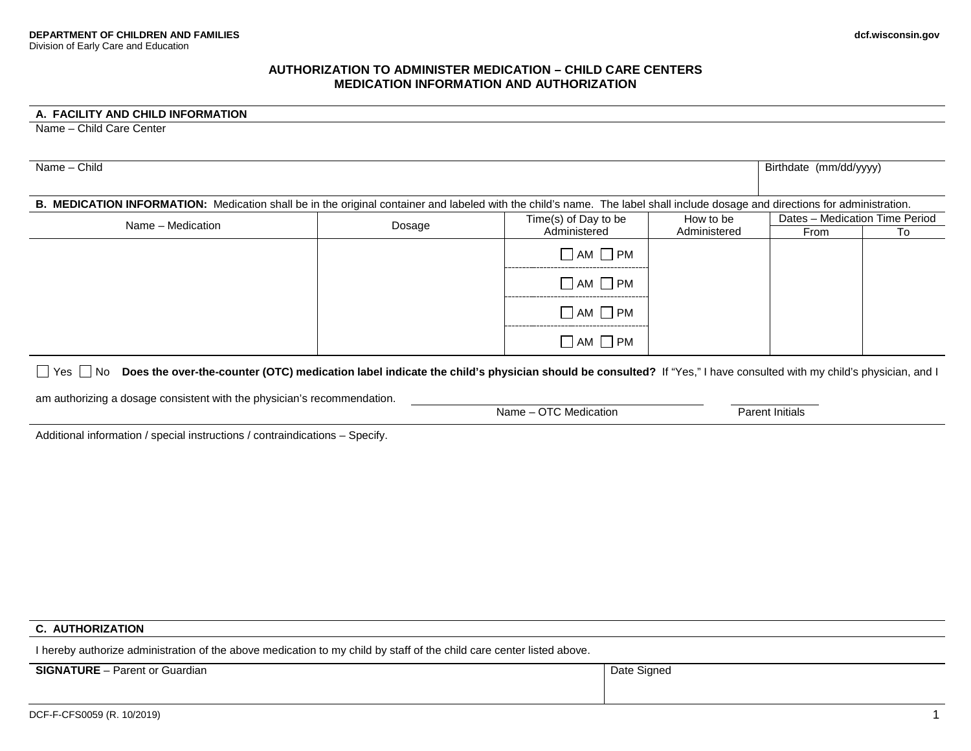## **AUTHORIZATION TO ADMINISTER MEDICATION – CHILD CARE CENTERS MEDICATION INFORMATION AND AUTHORIZATION**

## **A. FACILITY AND CHILD INFORMATION**

Name – Child Care Center

| Name - Child                                                                                                                                                                  | Birthdate (mm/dd/yyyy) |                                      |                           |                                |    |
|-------------------------------------------------------------------------------------------------------------------------------------------------------------------------------|------------------------|--------------------------------------|---------------------------|--------------------------------|----|
| B. MEDICATION INFORMATION: Medication shall be in the original container and labeled with the child's name. The label shall include dosage and directions for administration. |                        |                                      |                           |                                |    |
| Name - Medication                                                                                                                                                             | Dosage                 | Time(s) of Day to be<br>Administered | How to be<br>Administered | Dates - Medication Time Period |    |
|                                                                                                                                                                               |                        |                                      |                           | From                           | To |
|                                                                                                                                                                               |                        | $\Box$ AM $\Box$ PM                  |                           |                                |    |
|                                                                                                                                                                               |                        | $\Box$ AM $\Box$ PM                  |                           |                                |    |
|                                                                                                                                                                               |                        | $\neg$ AM $\neg$ PM                  |                           |                                |    |
|                                                                                                                                                                               |                        | $\Box$ AM $\Box$ PM                  |                           |                                |    |

□ Yes □ No **Does the over-the-counter (OTC) medication label indicate the child's physician should be consulted? If "Yes," I have consulted with my child's physician, and I** 

am authorizing a dosage consistent with the physician's recommendation.

Name – OTC Medication Parent Initials

Additional information / special instructions / contraindications – Specify.

## **C. AUTHORIZATION**

I hereby authorize administration of the above medication to my child by staff of the child care center listed above.

**SIGNATURE** – Parent or Guardian Date Signed Date Signed Date Signed Date Signed Date Signed Date Signed Date Signed Date Signed Date Signed Date Signed Date Signed Date Signed Date Signed Date Signed Date Signed Date Sign